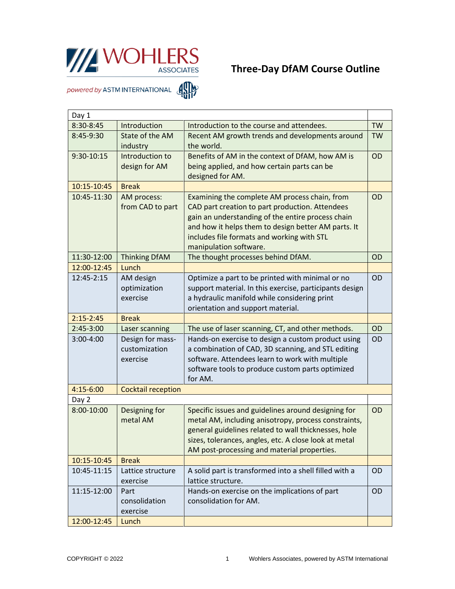

## **Three-Day DfAM Course Outline**

powered by ASTM INTERNATIONAL AND

| Day 1                                  |                       |                                                                              |           |  |
|----------------------------------------|-----------------------|------------------------------------------------------------------------------|-----------|--|
| 8:30-8:45                              | Introduction          | Introduction to the course and attendees.                                    | <b>TW</b> |  |
| 8:45-9:30                              | State of the AM       | Recent AM growth trends and developments around                              | <b>TW</b> |  |
|                                        | industry              | the world.                                                                   |           |  |
| 9:30-10:15                             | Introduction to       | Benefits of AM in the context of DfAM, how AM is                             | OD        |  |
|                                        | design for AM         | being applied, and how certain parts can be                                  |           |  |
|                                        |                       | designed for AM.                                                             |           |  |
| 10:15-10:45                            | <b>Break</b>          |                                                                              |           |  |
| 10:45-11:30                            | AM process:           | Examining the complete AM process chain, from                                | <b>OD</b> |  |
|                                        | from CAD to part      | CAD part creation to part production. Attendees                              |           |  |
|                                        |                       | gain an understanding of the entire process chain                            |           |  |
|                                        |                       | and how it helps them to design better AM parts. It                          |           |  |
|                                        |                       | includes file formats and working with STL                                   |           |  |
|                                        |                       | manipulation software.                                                       |           |  |
| 11:30-12:00                            | <b>Thinking DfAM</b>  | The thought processes behind DfAM.                                           | OD        |  |
| 12:00-12:45                            | Lunch                 |                                                                              |           |  |
| 12:45-2:15                             | AM design             | Optimize a part to be printed with minimal or no                             | OD        |  |
|                                        | optimization          | support material. In this exercise, participants design                      |           |  |
|                                        | exercise              | a hydraulic manifold while considering print                                 |           |  |
|                                        |                       | orientation and support material.                                            |           |  |
| $2:15 - 2:45$                          | <b>Break</b>          |                                                                              |           |  |
| $2:45-3:00$                            | Laser scanning        | The use of laser scanning, CT, and other methods.                            | OD        |  |
| 3:00-4:00                              | Design for mass-      | Hands-on exercise to design a custom product using                           | OD        |  |
|                                        | customization         | a combination of CAD, 3D scanning, and STL editing                           |           |  |
|                                        | exercise              | software. Attendees learn to work with multiple                              |           |  |
|                                        |                       | software tools to produce custom parts optimized                             |           |  |
|                                        |                       | for AM.                                                                      |           |  |
| 4:15-6:00<br><b>Cocktail reception</b> |                       |                                                                              |           |  |
| Day 2                                  |                       |                                                                              |           |  |
| 8:00-10:00                             | Designing for         | Specific issues and guidelines around designing for                          | OD        |  |
|                                        | metal AM              | metal AM, including anisotropy, process constraints,                         |           |  |
|                                        |                       | general guidelines related to wall thicknesses, hole                         |           |  |
|                                        |                       | sizes, tolerances, angles, etc. A close look at metal                        |           |  |
|                                        |                       | AM post-processing and material properties.                                  |           |  |
| 10:15-10:45                            | <b>Break</b>          |                                                                              |           |  |
| 10:45-11:15                            | Lattice structure     | A solid part is transformed into a shell filled with a<br>lattice structure. | <b>OD</b> |  |
| 11:15-12:00                            | exercise              |                                                                              |           |  |
|                                        | Part<br>consolidation | Hands-on exercise on the implications of part<br>consolidation for AM.       | OD        |  |
|                                        | exercise              |                                                                              |           |  |
| 12:00-12:45                            | Lunch                 |                                                                              |           |  |
|                                        |                       |                                                                              |           |  |